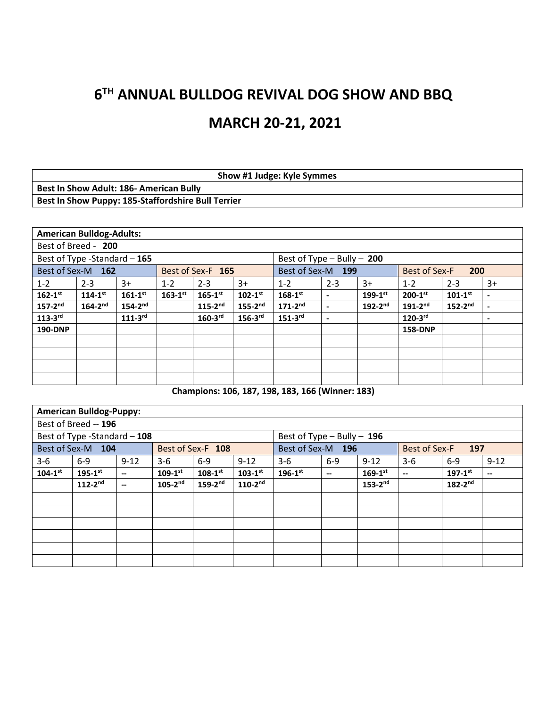# **6 TH ANNUAL BULLDOG REVIVAL DOG SHOW AND BBQ MARCH 20-21, 2021**

| Show #1 Judge: Kyle Symmes                         |
|----------------------------------------------------|
| <b>Best In Show Adult: 186- American Bully</b>     |
| Best In Show Puppy: 185-Staffordshire Bull Terrier |

|                              | <b>American Bulldog-Adults:</b> |                |                |                         |                         |                                                  |         |                |                         |                         |      |
|------------------------------|---------------------------------|----------------|----------------|-------------------------|-------------------------|--------------------------------------------------|---------|----------------|-------------------------|-------------------------|------|
|                              | Best of Breed - 200             |                |                |                         |                         |                                                  |         |                |                         |                         |      |
| Best of Type -Standard - 165 |                                 |                |                |                         |                         | Best of Type $-$ Bully $-$ 200                   |         |                |                         |                         |      |
|                              | Best of Sex-M 162               |                |                | Best of Sex-F 165       |                         | Best of Sex-M 199<br><b>Best of Sex-F</b><br>200 |         |                |                         |                         |      |
| $1 - 2$                      | $2 - 3$                         | $3+$           | $1 - 2$        | $2 - 3$                 | $3+$                    | $1 - 2$                                          | $2 - 3$ | $3+$           | $1 - 2$                 | $2 - 3$                 | $3+$ |
| $162 - 1$ <sup>st</sup>      | $114 - 1^{st}$                  | $161 - 1^{st}$ | $163 - 1^{st}$ | $165 - 1$ <sup>st</sup> | $102 - 1$ <sup>st</sup> | $168 - 1^{st}$                                   |         | $199-1^{st}$   | $200 - 1$ <sup>st</sup> | $101 - 1$ <sup>st</sup> | -    |
| $157-2^{nd}$                 | $164 - 2^{nd}$                  | $154 - 2^{nd}$ |                | $115 - 2^{nd}$          | $155 - 2^{nd}$          | $171 - 2^{nd}$                                   |         | $192 - 2^{nd}$ | $191 - 2^{nd}$          | $152-2^{nd}$            | -    |
| $113-3$ rd                   |                                 | $111-3$ rd     |                | $160-3$ <sup>rd</sup>   | $156 - 3$ <sup>rd</sup> | $151-3$ rd                                       | ٠       |                | $120-3$ rd              |                         | -    |
| 190-DNP                      |                                 |                |                |                         |                         |                                                  |         |                | <b>158-DNP</b>          |                         |      |
|                              |                                 |                |                |                         |                         |                                                  |         |                |                         |                         |      |
|                              |                                 |                |                |                         |                         |                                                  |         |                |                         |                         |      |
|                              |                                 |                |                |                         |                         |                                                  |         |                |                         |                         |      |
|                              |                                 |                |                |                         |                         |                                                  |         |                |                         |                         |      |

**Champions: 106, 187, 198, 183, 166 (Winner: 183)**

|                | <b>American Bulldog-Puppy:</b> |          |                |                   |                         |                                |       |              |                                       |                         |                          |
|----------------|--------------------------------|----------|----------------|-------------------|-------------------------|--------------------------------|-------|--------------|---------------------------------------|-------------------------|--------------------------|
|                | Best of Breed -- 196           |          |                |                   |                         |                                |       |              |                                       |                         |                          |
|                | Best of Type -Standard - 108   |          |                |                   |                         | Best of Type $-$ Bully $-$ 196 |       |              |                                       |                         |                          |
|                | Best of Sex-M 104              |          |                | Best of Sex-F 108 |                         | Best of Sex-M 196              |       |              | <b>Best of Sex-F</b>                  | 197                     |                          |
| 3-6            | $6-9$                          | $9 - 12$ | $3-6$          | $6-9$             | $9 - 12$                | $3-6$                          | $6-9$ | $9 - 12$     | $3-6$                                 | $6-9$                   | $9 - 12$                 |
| $104 - 1^{st}$ | $195 - 1^{st}$                 |          | $109-1^{st}$   | $108-1^{st}$      | $103 - 1$ <sup>st</sup> | $196 - 1$ <sup>st</sup>        |       | $169-1^{st}$ | $\hspace{0.05cm}$ – $\hspace{0.05cm}$ | $197 - 1$ <sup>st</sup> | $\overline{\phantom{m}}$ |
|                | $112-2^{nd}$                   | --       | $105 - 2^{nd}$ | $159-2^{nd}$      | $110-2nd$               |                                |       | $153-2nd$    |                                       | $182-2^{nd}$            |                          |
|                |                                |          |                |                   |                         |                                |       |              |                                       |                         |                          |
|                |                                |          |                |                   |                         |                                |       |              |                                       |                         |                          |
|                |                                |          |                |                   |                         |                                |       |              |                                       |                         |                          |
|                |                                |          |                |                   |                         |                                |       |              |                                       |                         |                          |
|                |                                |          |                |                   |                         |                                |       |              |                                       |                         |                          |
|                |                                |          |                |                   |                         |                                |       |              |                                       |                         |                          |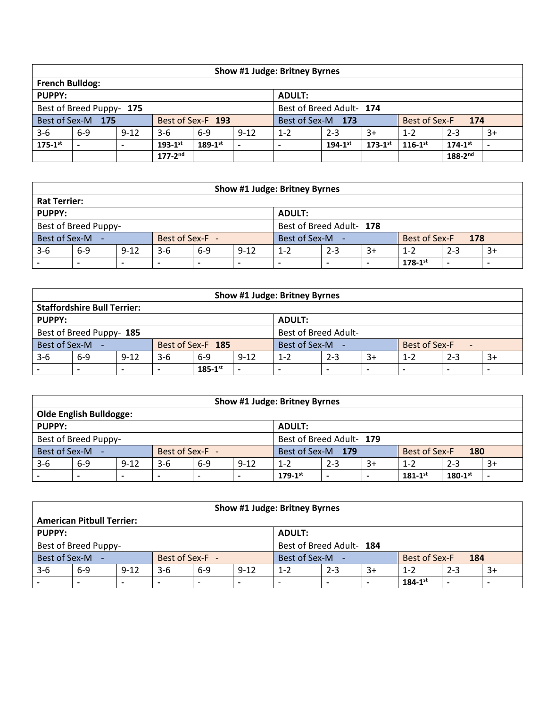| Show #1 Judge: Britney Byrnes                        |                              |          |                |                   |          |                   |                |                |                         |                |      |  |
|------------------------------------------------------|------------------------------|----------|----------------|-------------------|----------|-------------------|----------------|----------------|-------------------------|----------------|------|--|
| <b>French Bulldog:</b>                               |                              |          |                |                   |          |                   |                |                |                         |                |      |  |
| <b>PUPPY:</b>                                        |                              |          |                |                   |          | <b>ADULT:</b>     |                |                |                         |                |      |  |
| Best of Breed Adult- 174<br>Best of Breed Puppy- 175 |                              |          |                |                   |          |                   |                |                |                         |                |      |  |
|                                                      | Best of Sex-M 175            |          |                | Best of Sex-F 193 |          | Best of Sex-M 173 |                |                | Best of Sex-F           | 174            |      |  |
| $3-6$                                                | $6-9$                        | $9 - 12$ | $3-6$          | $6-9$             | $9 - 12$ | $1 - 2$           | $2 - 3$        | $3+$           | $1 - 2$                 | $2 - 3$        | $3+$ |  |
| $175-1$ st                                           |                              |          | $193 - 1^{st}$ | $189 - 1^{st}$    |          |                   | $194 - 1^{st}$ | $173 - 1^{st}$ | $116 - 1$ <sup>st</sup> | $174 - 1^{st}$ |      |  |
|                                                      | $177-2^{nd}$<br>$188-2^{nd}$ |          |                |                   |          |                   |                |                |                         |                |      |  |

| Show #1 Judge: Britney Byrnes |                                                                                                             |  |                 |  |  |               |  |  |               |     |  |  |  |
|-------------------------------|-------------------------------------------------------------------------------------------------------------|--|-----------------|--|--|---------------|--|--|---------------|-----|--|--|--|
| <b>Rat Terrier:</b>           |                                                                                                             |  |                 |  |  |               |  |  |               |     |  |  |  |
| PUPPY:                        | <b>ADULT:</b>                                                                                               |  |                 |  |  |               |  |  |               |     |  |  |  |
|                               | Best of Breed Adult- 178<br>Best of Breed Puppy-                                                            |  |                 |  |  |               |  |  |               |     |  |  |  |
| Best of Sex-M -               |                                                                                                             |  | Best of Sex-F - |  |  | Best of Sex-M |  |  | Best of Sex-F | 178 |  |  |  |
| $3 - 6$                       | $9 - 12$<br>$6-9$<br>$6-9$<br>$9 - 12$<br>$3-6$<br>$2 - 3$<br>$1 - 2$<br>$3+$<br>$2 - 3$<br>$1 - 2$<br>$3+$ |  |                 |  |  |               |  |  |               |     |  |  |  |
|                               | $178 - 1^{st}$<br>-<br>$\overline{\phantom{0}}$<br>-<br>-<br>$\overline{\phantom{0}}$                       |  |                 |  |  |               |  |  |               |     |  |  |  |

| <b>Show #1 Judge: Britney Byrnes</b> |                                                                                                                                                        |          |       |                   |          |               |         |      |               |         |      |  |  |
|--------------------------------------|--------------------------------------------------------------------------------------------------------------------------------------------------------|----------|-------|-------------------|----------|---------------|---------|------|---------------|---------|------|--|--|
|                                      | <b>Staffordshire Bull Terrier:</b>                                                                                                                     |          |       |                   |          |               |         |      |               |         |      |  |  |
| PUPPY:                               | <b>ADULT:</b>                                                                                                                                          |          |       |                   |          |               |         |      |               |         |      |  |  |
|                                      | <b>Best of Breed Adult-</b><br>Best of Breed Puppy- 185                                                                                                |          |       |                   |          |               |         |      |               |         |      |  |  |
| Best of Sex-M -                      |                                                                                                                                                        |          |       | Best of Sex-F 185 |          | Best of Sex-M |         |      | Best of Sex-F |         |      |  |  |
| $3-6$                                | $6 - 9$                                                                                                                                                | $9 - 12$ | $3-6$ | $6-9$             | $9 - 12$ | $1 - 2$       | $2 - 3$ | $3+$ | $1 - 2$       | $2 - 3$ | $3+$ |  |  |
|                                      | $185 - 1$ <sup>st</sup><br>$\overline{\phantom{0}}$<br>$\overline{\phantom{a}}$<br>-<br>$\overline{\phantom{a}}$<br>$\overline{\phantom{0}}$<br>-<br>- |          |       |                   |          |               |         |      |               |         |      |  |  |

| Show #1 Judge: Britney Byrnes                    |                                                                                                               |  |                 |  |  |                   |  |  |                      |     |  |  |
|--------------------------------------------------|---------------------------------------------------------------------------------------------------------------|--|-----------------|--|--|-------------------|--|--|----------------------|-----|--|--|
|                                                  | <b>Olde English Bulldogge:</b>                                                                                |  |                 |  |  |                   |  |  |                      |     |  |  |
| PUPPY:<br><b>ADULT:</b>                          |                                                                                                               |  |                 |  |  |                   |  |  |                      |     |  |  |
| Best of Breed Puppy-<br>Best of Breed Adult- 179 |                                                                                                               |  |                 |  |  |                   |  |  |                      |     |  |  |
| Best of Sex-M -                                  |                                                                                                               |  | Best of Sex-F - |  |  | Best of Sex-M 179 |  |  | <b>Best of Sex-F</b> | 180 |  |  |
| $3 - 6$                                          | $9 - 12$<br>$9 - 12$<br>$6-9$<br>$3-6$<br>$2 - 3$<br>$2 - 3$<br>$6 - 9$<br>$3+$<br>$3+$<br>$1 - 2$<br>$1 - 2$ |  |                 |  |  |                   |  |  |                      |     |  |  |
|                                                  | $180 - 1$ <sup>st</sup><br>$179 - 1$ <sup>st</sup><br>$181 - 1^{st}$<br>$\overline{\phantom{0}}$<br>-         |  |                 |  |  |                   |  |  |                      |     |  |  |

|                 | Show #1 Judge: Britney Byrnes                    |          |                 |       |          |                 |         |      |               |         |      |  |  |  |
|-----------------|--------------------------------------------------|----------|-----------------|-------|----------|-----------------|---------|------|---------------|---------|------|--|--|--|
|                 | <b>American Pitbull Terrier:</b>                 |          |                 |       |          |                 |         |      |               |         |      |  |  |  |
| <b>PUPPY:</b>   | <b>ADULT:</b>                                    |          |                 |       |          |                 |         |      |               |         |      |  |  |  |
|                 | Best of Breed Adult- 184<br>Best of Breed Puppy- |          |                 |       |          |                 |         |      |               |         |      |  |  |  |
| Best of Sex-M - |                                                  |          | Best of Sex-F - |       |          | Best of Sex-M - |         |      | Best of Sex-F | 184     |      |  |  |  |
| $3-6$           | $6-9$                                            | $9 - 12$ | $3-6$           | $6-9$ | $9 - 12$ | $1 - 2$         | $2 - 3$ | $3+$ | $1 - 2$       | $2 - 3$ | $3+$ |  |  |  |
|                 | $184 - 1^{st}$<br>$\overline{\phantom{a}}$<br>-  |          |                 |       |          |                 |         |      |               |         |      |  |  |  |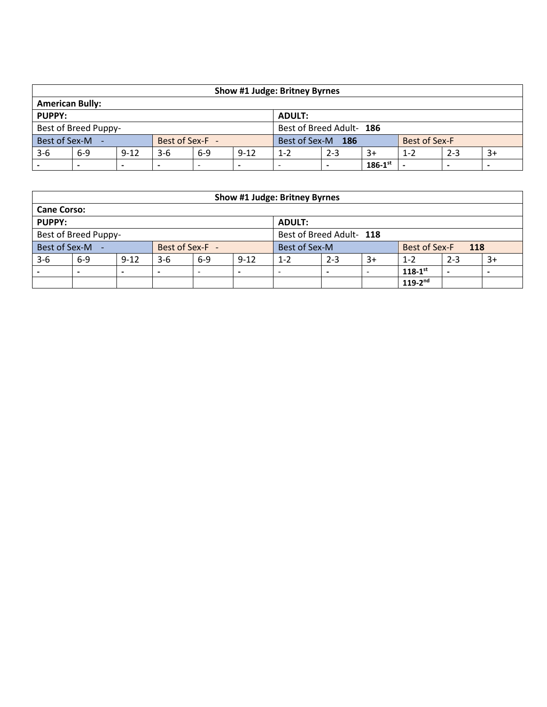| Show #1 Judge: Britney Byrnes                    |                                                                         |          |                 |       |          |                   |         |      |               |         |      |  |
|--------------------------------------------------|-------------------------------------------------------------------------|----------|-----------------|-------|----------|-------------------|---------|------|---------------|---------|------|--|
| <b>American Bully:</b>                           |                                                                         |          |                 |       |          |                   |         |      |               |         |      |  |
| <b>PUPPY:</b><br><b>ADULT:</b>                   |                                                                         |          |                 |       |          |                   |         |      |               |         |      |  |
| Best of Breed Adult- 186<br>Best of Breed Puppy- |                                                                         |          |                 |       |          |                   |         |      |               |         |      |  |
| Best of Sex-M -                                  |                                                                         |          | Best of Sex-F - |       |          | Best of Sex-M 186 |         |      | Best of Sex-F |         |      |  |
| $3-6$                                            | $6-9$                                                                   | $9 - 12$ | $3-6$           | $6-9$ | $9 - 12$ | $1 - 2$           | $2 - 3$ | $3+$ | $1 - 2$       | $2 - 3$ | $3+$ |  |
|                                                  | $186 - 1$ <sup>st</sup><br>$\overline{\phantom{0}}$<br>-<br>-<br>-<br>- |          |                 |       |          |                   |         |      |               |         |      |  |

|                    | Show #1 Judge: Britney Byrnes                    |          |                 |                          |          |               |         |      |                      |         |      |  |  |
|--------------------|--------------------------------------------------|----------|-----------------|--------------------------|----------|---------------|---------|------|----------------------|---------|------|--|--|
| <b>Cane Corso:</b> |                                                  |          |                 |                          |          |               |         |      |                      |         |      |  |  |
| <b>PUPPY:</b>      |                                                  |          |                 |                          |          | <b>ADULT:</b> |         |      |                      |         |      |  |  |
|                    | Best of Breed Adult- 118<br>Best of Breed Puppy- |          |                 |                          |          |               |         |      |                      |         |      |  |  |
| Best of Sex-M -    |                                                  |          | Best of Sex-F - |                          |          | Best of Sex-M |         |      | <b>Best of Sex-F</b> | 118     |      |  |  |
| $3-6$              | $6-9$                                            | $9 - 12$ | $3-6$           | $6-9$                    | $9 - 12$ | $1 - 2$       | $2 - 3$ | $3+$ | $1 - 2$              | $2 - 3$ | $3+$ |  |  |
|                    |                                                  |          |                 | $\overline{\phantom{0}}$ |          |               | -       |      | $118 - 1^{st}$       | -       |      |  |  |
|                    | $119 - 2^{nd}$                                   |          |                 |                          |          |               |         |      |                      |         |      |  |  |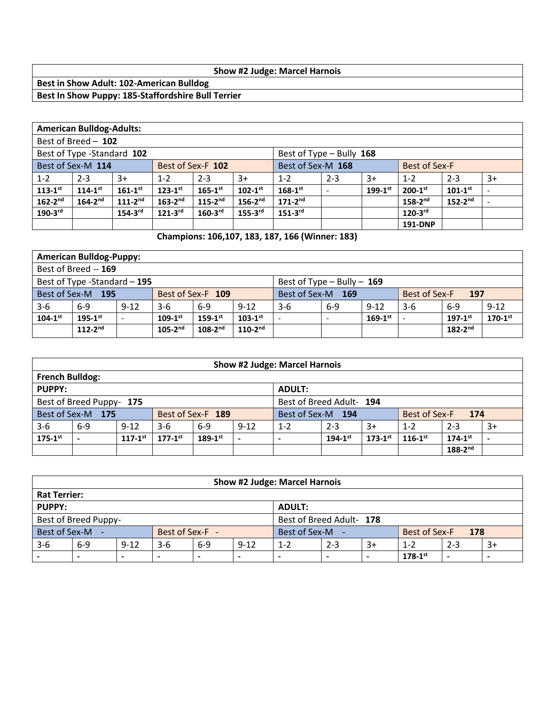#### **Show #2 Judge: Marcel Harnois**

## **Best in Show Adult: 102-American Bulldog Best In Show Puppy: 185-Staffordshire Bull Terrier**

|                | <b>American Bulldog-Adults:</b>                                                     |                         |                       |                         |                         |                          |         |              |                         |                         |                          |  |  |
|----------------|-------------------------------------------------------------------------------------|-------------------------|-----------------------|-------------------------|-------------------------|--------------------------|---------|--------------|-------------------------|-------------------------|--------------------------|--|--|
|                | Best of Breed - 102                                                                 |                         |                       |                         |                         |                          |         |              |                         |                         |                          |  |  |
|                | Best of Type -Standard 102                                                          |                         |                       |                         |                         | Best of Type - Bully 168 |         |              |                         |                         |                          |  |  |
|                | Best of Sex-M 114<br>Best of Sex-M 168<br><b>Best of Sex-F</b><br>Best of Sex-F 102 |                         |                       |                         |                         |                          |         |              |                         |                         |                          |  |  |
| $1 - 2$        | $2 - 3$                                                                             | $3+$                    | $1 - 2$               | $2 - 3$                 | $3+$                    | $1 - 2$                  | $2 - 3$ | $3+$         | $1 - 2$                 | $2 - 3$                 | $3+$                     |  |  |
| $113 - 1^{st}$ | $114 - 1^{st}$                                                                      | $161 - 1$ <sup>st</sup> | $123 - 1^{st}$        | $165 - 1$ <sup>st</sup> | $102 - 1$ <sup>st</sup> | $168 - 1^{st}$           |         | $199-1^{st}$ | $200 - 1$ <sup>st</sup> | $101 - 1$ <sup>st</sup> |                          |  |  |
| $162-2^{nd}$   | $164 - 2^{nd}$                                                                      | $111 - 2^{nd}$          | $163 - 2^{nd}$        | $115 - 2^{nd}$          | $156 - 2^{nd}$          | $171 - 2^{nd}$           |         |              | $158 - 2^{nd}$          | $152 - 2^{nd}$          | $\overline{\phantom{a}}$ |  |  |
| $190 - 3$ rd   |                                                                                     | $154 - 3$ <sup>rd</sup> | $121-3$ <sup>rd</sup> | $160 - 3$ <sup>rd</sup> | $155 - 3$ <sup>rd</sup> | $151-3rd$                |         |              | $120-3^{rd}$            |                         |                          |  |  |
|                |                                                                                     |                         |                       |                         |                         |                          |         |              | <b>191-DNP</b>          |                         |                          |  |  |

## **Champions: 106,107, 183, 187, 166 (Winner: 183)**

|                                                                                  | <b>American Bulldog-Puppy:</b>                                                                                                                |          |       |         |          |       |       |          |       |       |          |  |
|----------------------------------------------------------------------------------|-----------------------------------------------------------------------------------------------------------------------------------------------|----------|-------|---------|----------|-------|-------|----------|-------|-------|----------|--|
|                                                                                  | Best of Breed -- 169                                                                                                                          |          |       |         |          |       |       |          |       |       |          |  |
| Best of Type -Standard - 195<br>Best of Type $-$ Bully $-$ 169                   |                                                                                                                                               |          |       |         |          |       |       |          |       |       |          |  |
|                                                                                  | Best of Sex-M 195<br>Best of Sex-M 169<br>Best of Sex-F 109<br>Best of Sex-F<br>197                                                           |          |       |         |          |       |       |          |       |       |          |  |
| $3 - 6$                                                                          | $6-9$                                                                                                                                         | $9 - 12$ | $3-6$ | $6 - 9$ | $9 - 12$ | $3-6$ | $6-9$ | $9 - 12$ | $3-6$ | $6-9$ | $9 - 12$ |  |
| $104 - 1^{st}$                                                                   | $170 - 1$ <sup>st</sup><br>$195 - 1^{st}$<br>$103 - 1$ <sup>st</sup><br>$169-1^{st}$<br>$109-1^{st}$<br>$159-1^{st}$<br>$197-1$ <sup>st</sup> |          |       |         |          |       |       |          |       |       |          |  |
| $182-2^{nd}$<br>$110-2^{nd}$<br>$112 - 2^{nd}$<br>$105-2^{nd}$<br>$108 - 2^{nd}$ |                                                                                                                                               |          |       |         |          |       |       |          |       |       |          |  |

|                                                      | <b>Show #2 Judge: Marcel Harnois</b>                                                                |          |       |                   |          |                   |                |                         |                |                |      |  |  |
|------------------------------------------------------|-----------------------------------------------------------------------------------------------------|----------|-------|-------------------|----------|-------------------|----------------|-------------------------|----------------|----------------|------|--|--|
|                                                      | <b>French Bulldog:</b>                                                                              |          |       |                   |          |                   |                |                         |                |                |      |  |  |
| <b>PUPPY:</b><br><b>ADULT:</b>                       |                                                                                                     |          |       |                   |          |                   |                |                         |                |                |      |  |  |
| Best of Breed Adult- 194<br>Best of Breed Puppy- 175 |                                                                                                     |          |       |                   |          |                   |                |                         |                |                |      |  |  |
|                                                      | Best of Sex-M 175                                                                                   |          |       | Best of Sex-F 189 |          | Best of Sex-M 194 |                |                         | Best of Sex-F  | 174            |      |  |  |
| $3 - 6$                                              | $6 - 9$                                                                                             | $9 - 12$ | $3-6$ | $6-9$             | $9 - 12$ | $1 - 2$           | $2 - 3$        | $3+$                    | $1 - 2$        | $2 - 3$        | $3+$ |  |  |
| $175 - 1^{st}$                                       | $177-1$ <sup>st</sup><br>$189 - 1^{st}$<br>$117 - 1$ <sup>st</sup><br>$\overline{\phantom{0}}$<br>- |          |       |                   |          |                   | $194 - 1^{st}$ | $173 - 1$ <sup>st</sup> | $116 - 1^{st}$ | $174 - 1^{st}$ | -    |  |  |
|                                                      | $188 - 2^{nd}$                                                                                      |          |       |                   |          |                   |                |                         |                |                |      |  |  |

|                                                  |                                                                                                                                                        |  |                 |  |  | <b>Show #2 Judge: Marcel Harnois</b> |         |      |                      |         |      |  |
|--------------------------------------------------|--------------------------------------------------------------------------------------------------------------------------------------------------------|--|-----------------|--|--|--------------------------------------|---------|------|----------------------|---------|------|--|
| <b>Rat Terrier:</b>                              |                                                                                                                                                        |  |                 |  |  |                                      |         |      |                      |         |      |  |
| <b>PUPPY:</b><br><b>ADULT:</b>                   |                                                                                                                                                        |  |                 |  |  |                                      |         |      |                      |         |      |  |
| Best of Breed Puppy-<br>Best of Breed Adult- 178 |                                                                                                                                                        |  |                 |  |  |                                      |         |      |                      |         |      |  |
| Best of Sex-M -                                  |                                                                                                                                                        |  | Best of Sex-F - |  |  | Best of Sex-M -                      |         |      | <b>Best of Sex-F</b> | 178     |      |  |
| $3-6$                                            | $9 - 12$<br>$9 - 12$<br>$6 - 9$<br>$3-6$<br>$6-9$                                                                                                      |  |                 |  |  | $1 - 2$                              | $2 - 3$ | $3+$ | $1 - 2$              | $2 - 3$ | $3+$ |  |
|                                                  | $178 - 1$ <sup>st</sup><br>$\overline{\phantom{0}}$<br>$\overline{\phantom{0}}$<br>-<br>۰<br>-<br>$\overline{\phantom{0}}$<br>$\overline{\phantom{0}}$ |  |                 |  |  |                                      |         |      |                      |         |      |  |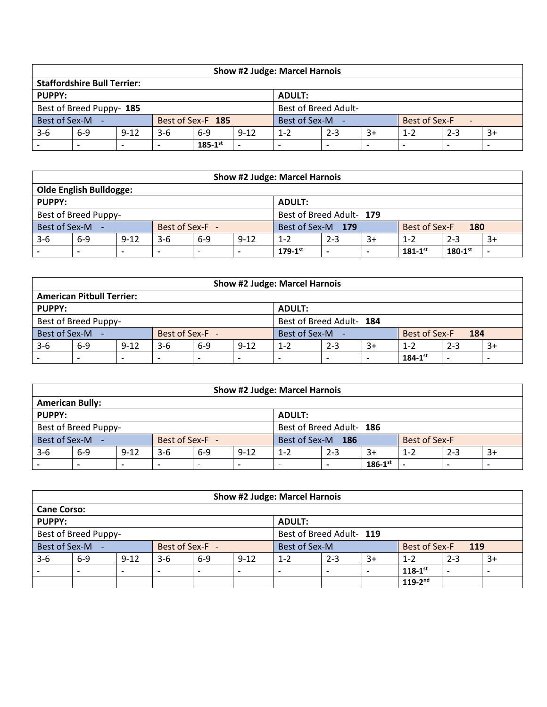| <b>Show #2 Judge: Marcel Harnois</b>                    |                                                                                              |  |  |                   |  |               |         |      |               |         |      |  |
|---------------------------------------------------------|----------------------------------------------------------------------------------------------|--|--|-------------------|--|---------------|---------|------|---------------|---------|------|--|
|                                                         | <b>Staffordshire Bull Terrier:</b>                                                           |  |  |                   |  |               |         |      |               |         |      |  |
| <b>PUPPY:</b><br><b>ADULT:</b>                          |                                                                                              |  |  |                   |  |               |         |      |               |         |      |  |
| <b>Best of Breed Adult-</b><br>Best of Breed Puppy- 185 |                                                                                              |  |  |                   |  |               |         |      |               |         |      |  |
| Best of Sex-M -                                         |                                                                                              |  |  | Best of Sex-F 185 |  | Best of Sex-M |         |      | Best of Sex-F | $\sim$  |      |  |
| $3 - 6$                                                 | $9 - 12$<br>$6-9$<br>$6-9$<br>$9-12$<br>$3-6$                                                |  |  |                   |  |               | $2 - 3$ | $3+$ | $1 - 2$       | $2 - 3$ | $3+$ |  |
|                                                         | $185-1$ <sup>st</sup><br>$\overline{\phantom{0}}$<br>-<br>-<br>-<br>$\overline{\phantom{0}}$ |  |  |                   |  |               |         |      |               |         |      |  |

|                                                  | <b>Show #2 Judge: Marcel Harnois</b>                                                                 |  |                 |  |  |                   |         |      |               |         |      |  |  |
|--------------------------------------------------|------------------------------------------------------------------------------------------------------|--|-----------------|--|--|-------------------|---------|------|---------------|---------|------|--|--|
| <b>Olde English Bulldogge:</b>                   |                                                                                                      |  |                 |  |  |                   |         |      |               |         |      |  |  |
| <b>PUPPY:</b><br><b>ADULT:</b>                   |                                                                                                      |  |                 |  |  |                   |         |      |               |         |      |  |  |
| Best of Breed Adult- 179<br>Best of Breed Puppy- |                                                                                                      |  |                 |  |  |                   |         |      |               |         |      |  |  |
| Best of Sex-M -                                  |                                                                                                      |  | Best of Sex-F - |  |  | Best of Sex-M 179 |         |      | Best of Sex-F | 180     |      |  |  |
| $3-6$                                            | $6-9$<br>$9 - 12$<br>$9 - 12$<br>$6-9$<br>$3-6$                                                      |  |                 |  |  |                   | $2 - 3$ | $3+$ | $1 - 2$       | $2 - 3$ | $3+$ |  |  |
|                                                  | $179-1^{st}$<br>$181 - 1^{st}$<br>$180 - 1$ <sup>st</sup><br>$\overline{\phantom{0}}$<br>-<br>-<br>- |  |                 |  |  |                   |         |      |               |         |      |  |  |

|                                                  | <b>Show #2 Judge: Marcel Harnois</b>                      |  |                 |  |  |               |         |      |               |         |      |  |  |
|--------------------------------------------------|-----------------------------------------------------------|--|-----------------|--|--|---------------|---------|------|---------------|---------|------|--|--|
|                                                  | <b>American Pitbull Terrier:</b>                          |  |                 |  |  |               |         |      |               |         |      |  |  |
| PUPPY:<br><b>ADULT:</b>                          |                                                           |  |                 |  |  |               |         |      |               |         |      |  |  |
| Best of Breed Puppy-<br>Best of Breed Adult- 184 |                                                           |  |                 |  |  |               |         |      |               |         |      |  |  |
| Best of Sex-M -                                  |                                                           |  | Best of Sex-F - |  |  | Best of Sex-M |         |      | Best of Sex-F | 184     |      |  |  |
| $3-6$                                            | $9 - 12$<br>$6 - 9$<br>$9 - 12$<br>$6-9$<br>$3-6$         |  |                 |  |  |               | $2 - 3$ | $3+$ | $1 - 2$       | $2 - 3$ | $3+$ |  |  |
|                                                  | $184 - 1^{st}$<br>$\overline{\phantom{0}}$<br>-<br>-<br>- |  |                 |  |  |               |         |      |               |         |      |  |  |

|                                                  | <b>Show #2 Judge: Marcel Harnois</b>                                         |  |                 |  |  |                   |         |      |               |         |      |  |  |
|--------------------------------------------------|------------------------------------------------------------------------------|--|-----------------|--|--|-------------------|---------|------|---------------|---------|------|--|--|
|                                                  | <b>American Bully:</b>                                                       |  |                 |  |  |                   |         |      |               |         |      |  |  |
| PUPPY:<br><b>ADULT:</b>                          |                                                                              |  |                 |  |  |                   |         |      |               |         |      |  |  |
| Best of Breed Puppy-<br>Best of Breed Adult- 186 |                                                                              |  |                 |  |  |                   |         |      |               |         |      |  |  |
| Best of Sex-M -                                  |                                                                              |  | Best of Sex-F - |  |  | Best of Sex-M 186 |         |      | Best of Sex-F |         |      |  |  |
| $3-6$                                            | $9 - 12$<br>$9 - 12$<br>$6-9$<br>$3-6$<br>$6-9$                              |  |                 |  |  | $1 - 2$           | $2 - 3$ | $3+$ | $1 - 2$       | $2 - 3$ | $3+$ |  |  |
|                                                  | $186 - 1$ <sup>st</sup><br>-<br>-<br>$\overline{\phantom{0}}$<br>-<br>۰<br>- |  |                 |  |  |                   |         |      |               |         |      |  |  |

|                                                  |                    |          |                 |       |          | <b>Show #2 Judge: Marcel Harnois</b>  |         |      |                |         |      |  |  |
|--------------------------------------------------|--------------------|----------|-----------------|-------|----------|---------------------------------------|---------|------|----------------|---------|------|--|--|
|                                                  | <b>Cane Corso:</b> |          |                 |       |          |                                       |         |      |                |         |      |  |  |
| PUPPY:<br><b>ADULT:</b>                          |                    |          |                 |       |          |                                       |         |      |                |         |      |  |  |
| Best of Breed Puppy-<br>Best of Breed Adult- 119 |                    |          |                 |       |          |                                       |         |      |                |         |      |  |  |
| Best of Sex-M -                                  |                    |          | Best of Sex-F - |       |          | Best of Sex-M<br>Best of Sex-F<br>119 |         |      |                |         |      |  |  |
| $3-6$                                            | $6-9$              | $9 - 12$ | $3-6$           | $6-9$ | $9 - 12$ | $1 - 2$                               | $2 - 3$ | $3+$ | $1 - 2$        | $2 - 3$ | $3+$ |  |  |
|                                                  |                    |          | -               | -     |          | $\overline{\phantom{a}}$              |         |      | $118 - 1^{st}$ |         | -    |  |  |
|                                                  | $119 - 2^{nd}$     |          |                 |       |          |                                       |         |      |                |         |      |  |  |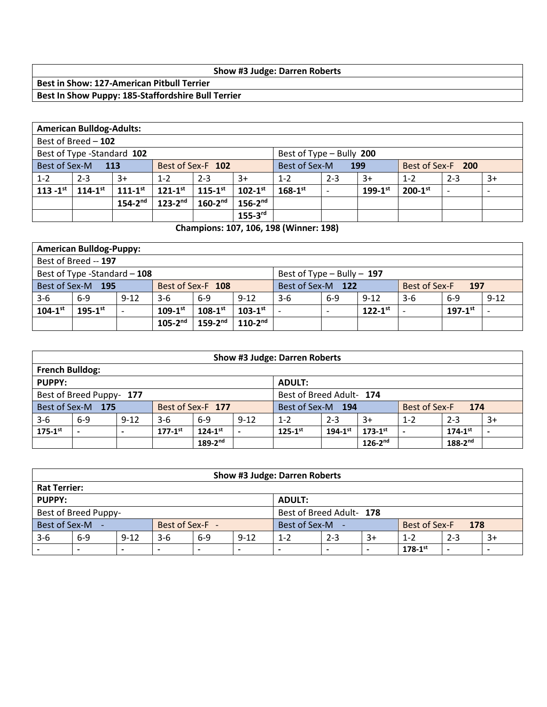### **Show #3 Judge: Darren Roberts**

**Best in Show: 127-American Pitbull Terrier Best In Show Puppy: 185-Staffordshire Bull Terrier** 

|                                                        | <b>American Bulldog-Adults:</b> |                |                |                   |                |                                           |         |              |                |                          |                          |  |  |
|--------------------------------------------------------|---------------------------------|----------------|----------------|-------------------|----------------|-------------------------------------------|---------|--------------|----------------|--------------------------|--------------------------|--|--|
|                                                        | Best of Breed - 102             |                |                |                   |                |                                           |         |              |                |                          |                          |  |  |
| Best of Type -Standard 102<br>Best of Type - Bully 200 |                                 |                |                |                   |                |                                           |         |              |                |                          |                          |  |  |
| Best of Sex-M                                          | - 113                           |                |                | Best of Sex-F 102 |                | Best of Sex-M<br>Best of Sex-F 200<br>199 |         |              |                |                          |                          |  |  |
| $1 - 2$                                                | $2 - 3$                         | $3+$           | $1 - 2$        | $2 - 3$           | $3+$           | $1 - 2$                                   | $2 - 3$ | $3+$         | $1 - 2$        | $2 - 3$                  | $3+$                     |  |  |
| $113 - 1^{st}$                                         | $114 - 1^{st}$                  | $111 - 1^{st}$ | $121 - 1^{st}$ | $115 - 1^{st}$    | $102 - 1^{st}$ | $168 - 1^{st}$                            |         | $199-1^{st}$ | $200 - 1^{st}$ | $\overline{\phantom{0}}$ | $\overline{\phantom{a}}$ |  |  |
|                                                        |                                 | $154-2^{nd}$   | $123-2^{nd}$   | $160-2nd$         | $156-2^{nd}$   |                                           |         |              |                |                          |                          |  |  |
|                                                        |                                 |                |                |                   | $155-3rd$      |                                           |         |              |                |                          |                          |  |  |

**Champions: 107, 106, 198 (Winner: 198)**

|                                                    | <b>American Bulldog-Puppy:</b>                                 |          |                |                   |                |                                           |       |                |       |                |          |  |  |
|----------------------------------------------------|----------------------------------------------------------------|----------|----------------|-------------------|----------------|-------------------------------------------|-------|----------------|-------|----------------|----------|--|--|
|                                                    | Best of Breed -- 197                                           |          |                |                   |                |                                           |       |                |       |                |          |  |  |
|                                                    | Best of Type -Standard - 108<br>Best of Type $-$ Bully $-$ 197 |          |                |                   |                |                                           |       |                |       |                |          |  |  |
|                                                    | Best of Sex-M 195                                              |          |                | Best of Sex-F 108 |                | Best of Sex-M 122<br><b>Best of Sex-F</b> |       |                | 197   |                |          |  |  |
| $3 - 6$                                            | $6-9$                                                          | $9 - 12$ | $3-6$          | $6-9$             | $9-12$         | $3-6$                                     | $6-9$ | $9 - 12$       | $3-6$ | $6-9$          | $9 - 12$ |  |  |
| $104 - 1$ <sup>st</sup>                            | $195 - 1^{st}$                                                 |          | $109 - 1^{st}$ | $108 - 1^{st}$    | $103 - 1^{st}$ |                                           |       | $122 - 1^{st}$ |       | $197 - 1^{st}$ |          |  |  |
| $110 - 2^{nd}$<br>$105 - 2^{nd}$<br>$159 - 2^{nd}$ |                                                                |          |                |                   |                |                                           |       |                |       |                |          |  |  |

|                                                      | <b>Show #3 Judge: Darren Roberts</b>               |                |                         |                   |          |                   |                |                |               |                |      |  |  |  |
|------------------------------------------------------|----------------------------------------------------|----------------|-------------------------|-------------------|----------|-------------------|----------------|----------------|---------------|----------------|------|--|--|--|
|                                                      | <b>French Bulldog:</b>                             |                |                         |                   |          |                   |                |                |               |                |      |  |  |  |
| PUPPY:<br><b>ADULT:</b>                              |                                                    |                |                         |                   |          |                   |                |                |               |                |      |  |  |  |
| Best of Breed Adult- 174<br>Best of Breed Puppy- 177 |                                                    |                |                         |                   |          |                   |                |                |               |                |      |  |  |  |
|                                                      | Best of Sex-M 175                                  |                |                         | Best of Sex-F 177 |          | Best of Sex-M 194 |                |                | Best of Sex-F | 174            |      |  |  |  |
| $3 - 6$                                              | $6-9$                                              | $9 - 12$       | $3-6$                   | $6-9$             | $9 - 12$ | $1 - 2$           | $2 - 3$        | $3+$           | $1 - 2$       | $2 - 3$        | $3+$ |  |  |  |
| $175-1$ st                                           |                                                    | $\blacksquare$ | $177 - 1$ <sup>st</sup> | $124 - 1^{st}$    |          | $125 - 1^{st}$    | $194 - 1^{st}$ | $173 - 1^{st}$ |               | $174 - 1^{st}$ |      |  |  |  |
|                                                      | $188 - 2^{nd}$<br>$189 - 2^{nd}$<br>$126 - 2^{nd}$ |                |                         |                   |          |                   |                |                |               |                |      |  |  |  |

|                                |                                                                         |  |                 |  |  | <b>Show #3 Judge: Darren Roberts</b> |         |      |               |         |      |  |  |
|--------------------------------|-------------------------------------------------------------------------|--|-----------------|--|--|--------------------------------------|---------|------|---------------|---------|------|--|--|
|                                | <b>Rat Terrier:</b>                                                     |  |                 |  |  |                                      |         |      |               |         |      |  |  |
| <b>PUPPY:</b><br><b>ADULT:</b> |                                                                         |  |                 |  |  |                                      |         |      |               |         |      |  |  |
|                                | Best of Breed Adult- 178<br>Best of Breed Puppy-                        |  |                 |  |  |                                      |         |      |               |         |      |  |  |
| Best of Sex-M -                |                                                                         |  | Best of Sex-F - |  |  | Best of Sex-M -                      |         |      | Best of Sex-F | 178     |      |  |  |
| $3 - 6$                        | $9 - 12$<br>$6-9$<br>$3-6$<br>$9 - 12$<br>$6-9$                         |  |                 |  |  | $1 - 2$                              | $2 - 3$ | $3+$ | $1 - 2$       | $2 - 3$ | $3+$ |  |  |
|                                | $178 - 1$ <sup>st</sup><br>$\overline{\phantom{0}}$<br>-<br>-<br>-<br>- |  |                 |  |  |                                      |         |      |               |         |      |  |  |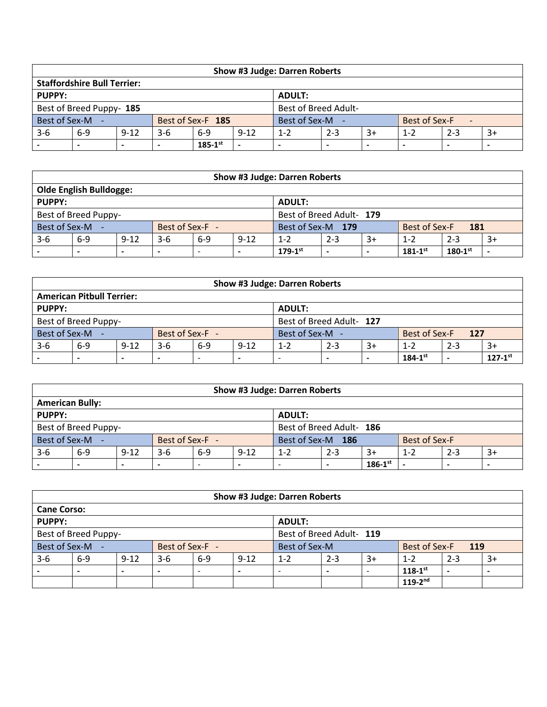| <b>Show #3 Judge: Darren Roberts</b>                    |                                                                                              |  |  |                   |  |               |         |      |               |         |      |  |
|---------------------------------------------------------|----------------------------------------------------------------------------------------------|--|--|-------------------|--|---------------|---------|------|---------------|---------|------|--|
|                                                         | <b>Staffordshire Bull Terrier:</b>                                                           |  |  |                   |  |               |         |      |               |         |      |  |
| <b>PUPPY:</b><br><b>ADULT:</b>                          |                                                                                              |  |  |                   |  |               |         |      |               |         |      |  |
| <b>Best of Breed Adult-</b><br>Best of Breed Puppy- 185 |                                                                                              |  |  |                   |  |               |         |      |               |         |      |  |
| Best of Sex-M -                                         |                                                                                              |  |  | Best of Sex-F 185 |  | Best of Sex-M |         |      | Best of Sex-F | $\sim$  |      |  |
| $3 - 6$                                                 | $9 - 12$<br>$6-9$<br>$6-9$<br>$9-12$<br>$3-6$                                                |  |  |                   |  |               | $2 - 3$ | $3+$ | $1 - 2$       | $2 - 3$ | $3+$ |  |
|                                                         | $185-1$ <sup>st</sup><br>$\overline{\phantom{0}}$<br>-<br>-<br>-<br>$\overline{\phantom{0}}$ |  |  |                   |  |               |         |      |               |         |      |  |

| <b>Show #3 Judge: Darren Roberts</b> |         |          |                          |                                           |                          |                                                                |  |         |         |      |  |
|--------------------------------------|---------|----------|--------------------------|-------------------------------------------|--------------------------|----------------------------------------------------------------|--|---------|---------|------|--|
| <b>Olde English Bulldogge:</b>       |         |          |                          |                                           |                          |                                                                |  |         |         |      |  |
| PUPPY:<br><b>ADULT:</b>              |         |          |                          |                                           |                          |                                                                |  |         |         |      |  |
| Best of Breed Puppy-                 |         |          |                          |                                           |                          | Best of Breed Adult- 179                                       |  |         |         |      |  |
| Best of Sex-M -<br>Best of Sex-F -   |         |          |                          | Best of Sex-M 179<br>Best of Sex-F<br>181 |                          |                                                                |  |         |         |      |  |
| $3-6$                                | $6 - 9$ | $9 - 12$ | $3-6$                    | $6 - 9$                                   | $9 - 12$                 | $2 - 3$<br>$3+$<br>$1 - 2$                                     |  | $1 - 2$ | $2 - 3$ | $3+$ |  |
|                                      |         |          | $\overline{\phantom{0}}$ | $\overline{\phantom{0}}$                  | $\overline{\phantom{0}}$ | $179-1^{st}$<br>$181 - 1^{st}$<br>$180 - 1$ <sup>st</sup><br>- |  |         |         |      |  |

| <b>Show #3 Judge: Darren Roberts</b> |       |          |       |                                       |          |                            |   |  |                |         |                |  |
|--------------------------------------|-------|----------|-------|---------------------------------------|----------|----------------------------|---|--|----------------|---------|----------------|--|
| <b>American Pitbull Terrier:</b>     |       |          |       |                                       |          |                            |   |  |                |         |                |  |
| PUPPY:<br><b>ADULT:</b>              |       |          |       |                                       |          |                            |   |  |                |         |                |  |
| Best of Breed Puppy-                 |       |          |       |                                       |          | Best of Breed Adult- 127   |   |  |                |         |                |  |
| Best of Sex-M -<br>Best of Sex-F -   |       |          |       | Best of Sex-M<br>Best of Sex-F<br>127 |          |                            |   |  |                |         |                |  |
| $3-6$                                | $6-9$ | $9 - 12$ | $3-6$ | $6-9$                                 | $9 - 12$ | $2 - 3$<br>$3+$<br>$1 - 2$ |   |  | $1 - 2$        | $2 - 3$ | $3+$           |  |
|                                      |       |          |       | $\overline{\phantom{0}}$              | -        |                            | - |  | $184 - 1^{st}$ | -       | $127 - 1^{st}$ |  |

| <b>Show #3 Judge: Darren Roberts</b> |       |                          |       |         |                                           |                            |  |                         |         |      |  |
|--------------------------------------|-------|--------------------------|-------|---------|-------------------------------------------|----------------------------|--|-------------------------|---------|------|--|
| <b>American Bully:</b>               |       |                          |       |         |                                           |                            |  |                         |         |      |  |
| PUPPY:<br><b>ADULT:</b>              |       |                          |       |         |                                           |                            |  |                         |         |      |  |
| Best of Breed Puppy-                 |       | Best of Breed Adult- 186 |       |         |                                           |                            |  |                         |         |      |  |
| Best of Sex-M -<br>Best of Sex-F -   |       |                          |       |         | Best of Sex-M 186<br><b>Best of Sex-F</b> |                            |  |                         |         |      |  |
| $3 - 6$                              | $6-9$ | $9 - 12$                 | $3-6$ | $6 - 9$ | $9 - 12$                                  | $2 - 3$<br>$3+$<br>$1 - 2$ |  | $1 - 2$                 | $2 - 3$ | $3+$ |  |
|                                      |       |                          | -     | -       |                                           |                            |  | $186 - 1$ <sup>st</sup> |         |      |  |

| <b>Show #3 Judge: Darren Roberts</b>             |       |          |                 |                          |          |                                              |  |         |                |      |  |
|--------------------------------------------------|-------|----------|-----------------|--------------------------|----------|----------------------------------------------|--|---------|----------------|------|--|
| <b>Cane Corso:</b>                               |       |          |                 |                          |          |                                              |  |         |                |      |  |
| PUPPY:<br><b>ADULT:</b>                          |       |          |                 |                          |          |                                              |  |         |                |      |  |
| Best of Breed Puppy-<br>Best of Breed Adult- 119 |       |          |                 |                          |          |                                              |  |         |                |      |  |
| Best of Sex-M -                                  |       |          | Best of Sex-F - |                          |          | Best of Sex-M<br>Best of Sex-F<br><b>119</b> |  |         |                |      |  |
| $3-6$                                            | $6-9$ | $9 - 12$ | $3-6$           | $6-9$                    | $9 - 12$ | $3+$<br>$2 - 3$<br>$1 - 2$                   |  | $1 - 2$ | $2 - 3$        | $3+$ |  |
|                                                  |       |          | -               | $\overline{\phantom{0}}$ |          |                                              |  |         | $118 - 1^{st}$ |      |  |
|                                                  |       |          |                 |                          |          |                                              |  |         | $119 - 2^{nd}$ |      |  |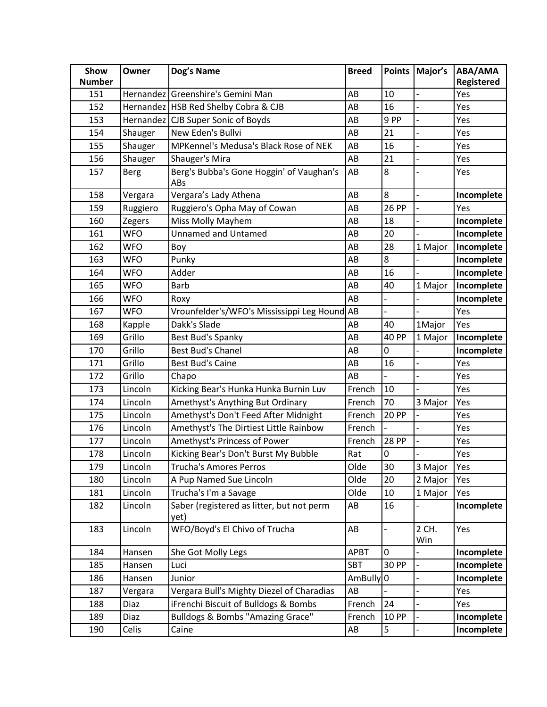| Show          | Owner         | Dog's Name                                        | <b>Breed</b>           | <b>Points</b> | Major's        | ABA/AMA    |
|---------------|---------------|---------------------------------------------------|------------------------|---------------|----------------|------------|
| <b>Number</b> |               |                                                   |                        |               |                | Registered |
| 151           |               | Hernandez Greenshire's Gemini Man                 | AB                     | 10            |                | Yes        |
| 152           |               | Hernandez   HSB Red Shelby Cobra & CJB            | AB                     | 16            |                | Yes        |
| 153           |               | Hernandez CJB Super Sonic of Boyds                | AB                     | 9 PP          |                | Yes        |
| 154           | Shauger       | New Eden's Bullvi                                 | AB                     | 21            |                | Yes        |
| 155           | Shauger       | MPKennel's Medusa's Black Rose of NEK             | AB                     | 16            |                | Yes        |
| 156           | Shauger       | Shauger's Mira                                    | AB                     | 21            |                | Yes        |
| 157           | <b>Berg</b>   | Berg's Bubba's Gone Hoggin' of Vaughan's<br>ABs   | AB                     | 8             |                | Yes        |
| 158           | Vergara       | Vergara's Lady Athena                             | AB                     | 8             | $\overline{a}$ | Incomplete |
| 159           | Ruggiero      | Ruggiero's Opha May of Cowan                      | AB                     | <b>26 PP</b>  |                | Yes        |
| 160           | <b>Zegers</b> | Miss Molly Mayhem                                 | AB                     | 18            |                | Incomplete |
| 161           | <b>WFO</b>    | <b>Unnamed and Untamed</b>                        | AB                     | 20            |                | Incomplete |
| 162           | WFO           | Boy                                               | AB                     | 28            | 1 Major        | Incomplete |
| 163           | <b>WFO</b>    | Punky                                             | AB                     | 8             |                | Incomplete |
| 164           | <b>WFO</b>    | Adder                                             | AB                     | 16            |                | Incomplete |
| 165           | WFO           | <b>Barb</b>                                       | AB                     | 40            | 1 Major        | Incomplete |
| 166           | <b>WFO</b>    | Roxy                                              | AB                     |               |                | Incomplete |
| 167           | WFO           | Vrounfelder's/WFO's Mississippi Leg Hound AB      |                        |               |                | Yes        |
| 168           | Kapple        | Dakk's Slade                                      | AB                     | 40            | 1Major         | Yes        |
| 169           | Grillo        | Best Bud's Spanky                                 | AB                     | <b>40 PP</b>  | 1 Major        | Incomplete |
| 170           | Grillo        | <b>Best Bud's Chanel</b>                          | AB                     | 0             |                | Incomplete |
| 171           | Grillo        | <b>Best Bud's Caine</b>                           | AB                     | 16            |                | Yes        |
| 172           | Grillo        | Chapo                                             | AB                     |               |                | Yes        |
| 173           | Lincoln       | Kicking Bear's Hunka Hunka Burnin Luv             | French                 | 10            |                | Yes        |
| 174           | Lincoln       | Amethyst's Anything But Ordinary                  | French                 | 70            | 3 Major        | Yes        |
| 175           | Lincoln       | Amethyst's Don't Feed After Midnight              | French                 | <b>20 PP</b>  |                | Yes        |
| 176           | Lincoln       | Amethyst's The Dirtiest Little Rainbow            | French                 |               |                | Yes        |
| 177           | Lincoln       | Amethyst's Princess of Power                      | French                 | <b>28 PP</b>  | $\overline{a}$ | Yes        |
| 178           | Lincoln       | Kicking Bear's Don't Burst My Bubble              | Rat                    | 0             |                | Yes        |
| 179           | Lincoln       | Trucha's Amores Perros                            | Olde                   | 30            | 3 Major        | Yes        |
| 180           | Lincoln       | A Pup Named Sue Lincoln                           | Olde                   | 20            | 2 Major        | Yes        |
| 181           | Lincoln       | Trucha's I'm a Savage                             | Olde                   | 10            | 1 Major        | Yes        |
| 182           | Lincoln       | Saber (registered as litter, but not perm<br>yet) | AB                     | 16            |                | Incomplete |
| 183           | Lincoln       | WFO/Boyd's El Chivo of Trucha                     | AB                     |               | 2 CH.<br>Win   | Yes        |
| 184           | Hansen        | She Got Molly Legs                                | <b>APBT</b>            | 0             |                | Incomplete |
| 185           | Hansen        | Luci                                              | <b>SBT</b>             | 30 PP         |                | Incomplete |
| 186           | Hansen        | Junior                                            | AmBully <sup>0</sup>   |               |                | Incomplete |
| 187           | Vergara       | Vergara Bull's Mighty Diezel of Charadias         | AB                     |               |                | Yes        |
| 188           | Diaz          | iFrenchi Biscuit of Bulldogs & Bombs              | French                 | 24            |                | Yes        |
| 189           | Diaz          | Bulldogs & Bombs "Amazing Grace"                  | French                 | <b>10 PP</b>  |                | Incomplete |
| 190           | Celis         | Caine                                             | $\mathsf{A}\mathsf{B}$ | 5             |                | Incomplete |